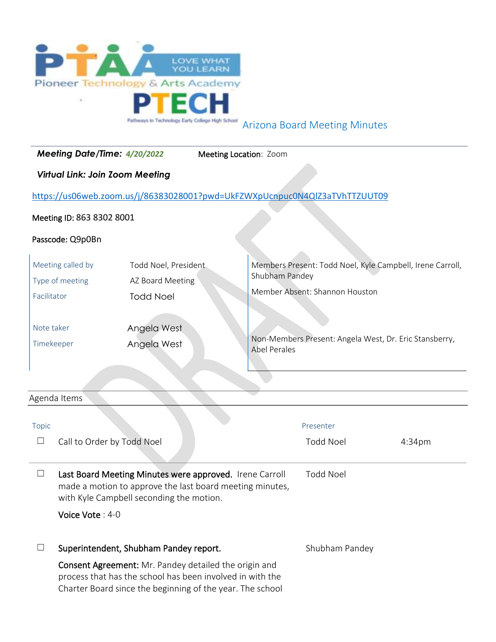

Arizona Board Meeting Minutes

| Meeting Date/Time: 4/20/2022<br>Meeting Location: Zoom                          |                                                                                                                                                                                                                           |                                                                                            |                     |                                                                                                                                                                         |        |
|---------------------------------------------------------------------------------|---------------------------------------------------------------------------------------------------------------------------------------------------------------------------------------------------------------------------|--------------------------------------------------------------------------------------------|---------------------|-------------------------------------------------------------------------------------------------------------------------------------------------------------------------|--------|
| <b>Virtual Link: Join Zoom Meeting</b>                                          |                                                                                                                                                                                                                           |                                                                                            |                     |                                                                                                                                                                         |        |
| https://us06web.zoom.us/j/86383028001?pwd=UkFZWXpUcnpuc0N4QlZ3aTVhTTZUUT09      |                                                                                                                                                                                                                           |                                                                                            |                     |                                                                                                                                                                         |        |
| Meeting ID: 863 8302 8001                                                       |                                                                                                                                                                                                                           |                                                                                            |                     |                                                                                                                                                                         |        |
|                                                                                 | Passcode: Q9p0Bn                                                                                                                                                                                                          |                                                                                            |                     |                                                                                                                                                                         |        |
| Meeting called by<br>Type of meeting<br>Facilitator<br>Note taker<br>Timekeeper |                                                                                                                                                                                                                           | Todd Noel, President<br>AZ Board Meeting<br><b>Todd Noel</b><br>Angela West<br>Angela West | <b>Abel Perales</b> | Members Present: Todd Noel, Kyle Campbell, Irene Carroll,<br>Shubham Pandey<br>Member Absent: Shannon Houston<br>Non-Members Present: Angela West, Dr. Eric Stansberry, |        |
| Agenda Items                                                                    |                                                                                                                                                                                                                           |                                                                                            |                     |                                                                                                                                                                         |        |
| <b>Topic</b><br>$\Box$                                                          | Call to Order by Todd Noel                                                                                                                                                                                                |                                                                                            |                     | Presenter<br><b>Todd Noel</b>                                                                                                                                           | 4:34pm |
| $\Box$                                                                          | <b>Todd Noel</b><br>Last Board Meeting Minutes were approved. Irene Carroll<br>made a motion to approve the last board meeting minutes,<br>with Kyle Campbell seconding the motion.<br>Voice Vote: 4-0                    |                                                                                            |                     |                                                                                                                                                                         |        |
| ⊔                                                                               | Superintendent, Shubham Pandey report.<br>Consent Agreement: Mr. Pandey detailed the origin and<br>process that has the school has been involved in with the<br>Charter Board since the beginning of the year. The school |                                                                                            |                     | Shubham Pandey                                                                                                                                                          |        |